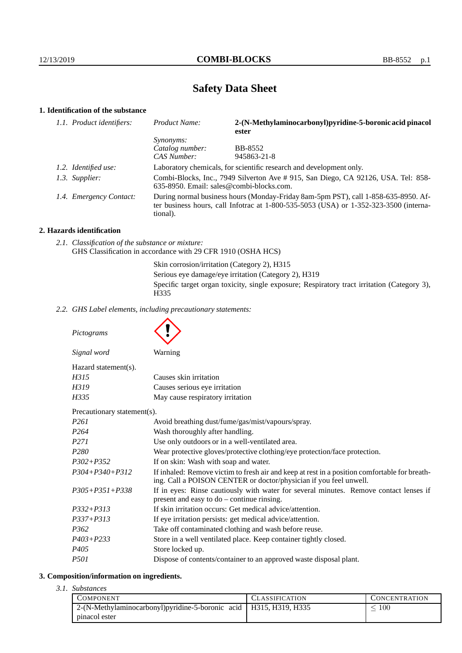# **Safety Data Sheet**

# **1. Identification of the substance**

| 1.1. Product identifiers: | Product Name:                                                                                                                                                                           | 2-(N-Methylaminocarbonyl)pyridine-5-boronic acid pinacol<br>ester   |  |
|---------------------------|-----------------------------------------------------------------------------------------------------------------------------------------------------------------------------------------|---------------------------------------------------------------------|--|
|                           | <i>Synonyms:</i>                                                                                                                                                                        |                                                                     |  |
|                           | Catalog number:                                                                                                                                                                         | <b>BB-8552</b>                                                      |  |
|                           | <b>CAS Number:</b>                                                                                                                                                                      | 945863-21-8                                                         |  |
| 1.2. Identified use:      |                                                                                                                                                                                         | Laboratory chemicals, for scientific research and development only. |  |
| 1.3. Supplier:            | Combi-Blocks, Inc., 7949 Silverton Ave # 915, San Diego, CA 92126, USA. Tel: 858-<br>635-8950. Email: sales@combi-blocks.com.                                                           |                                                                     |  |
| 1.4. Emergency Contact:   | During normal business hours (Monday-Friday 8am-5pm PST), call 1-858-635-8950. Af-<br>ter business hours, call Infotrac at 1-800-535-5053 (USA) or 1-352-323-3500 (interna-<br>tional). |                                                                     |  |

# **2. Hazards identification**

*2.1. Classification of the substance or mixture:* GHS Classification in accordance with 29 CFR 1910 (OSHA HCS)

Skin corrosion/irritation (Category 2), H315

Serious eye damage/eye irritation (Category 2), H319

Specific target organ toxicity, single exposure; Respiratory tract irritation (Category 3), H335

*2.2. GHS Label elements, including precautionary statements:*

*Pictograms Signal word* Warning Hazard statement(s). *H315* Causes skin irritation *H319* Causes serious eve irritation *H335* May cause respiratory irritation Precautionary statement(s). *P261* Avoid breathing dust/fume/gas/mist/vapours/spray. *P264* Wash thoroughly after handling. *P271* Use only outdoors or in a well-ventilated area. *P280* Wear protective gloves/protective clothing/eye protection/face protection. *P302+P352* If on skin: Wash with soap and water. *P304+P340+P312* If inhaled: Remove victim to fresh air and keep at rest in a position comfortable for breathing. Call a POISON CENTER or doctor/physician if you feel unwell. *P305+P351+P338* If in eyes: Rinse cautiously with water for several minutes. Remove contact lenses if

|                  | present and easy to $do$ – continue rinsing.                       |
|------------------|--------------------------------------------------------------------|
| $P332 + P313$    | If skin irritation occurs: Get medical advice/attention.           |
| $P337 + P313$    | If eye irritation persists: get medical advice/attention.          |
| <i>P362</i>      | Take off contaminated clothing and wash before reuse.              |
| $P403 + P233$    | Store in a well ventilated place. Keep container tightly closed.   |
| P <sub>405</sub> | Store locked up.                                                   |
| <i>P501</i>      | Dispose of contents/container to an approved waste disposal plant. |

## **3. Composition/information on ingredients.**

*3.1. Substances*

| <b>COMPONENT</b>                                                     | <b>CLASSIFICATION</b> | <b>CONCENTRATION</b> |
|----------------------------------------------------------------------|-----------------------|----------------------|
| 2-(N-Methylaminocarbonyl) pyridine-5-boronic acid   H315, H319, H335 |                       | 100                  |
| pinacol ester                                                        |                       |                      |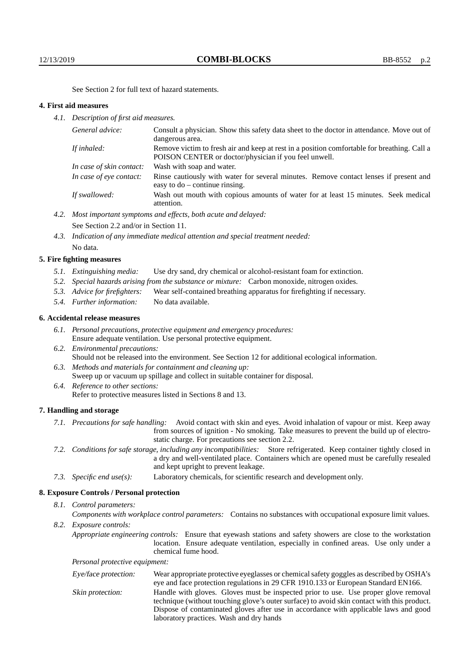See Section 2 for full text of hazard statements.

## **4. First aid measures**

*4.1. Description of first aid measures.*

| General advice:          | Consult a physician. Show this safety data sheet to the doctor in attendance. Move out of<br>dangerous area.                                         |
|--------------------------|------------------------------------------------------------------------------------------------------------------------------------------------------|
| If inhaled:              | Remove victim to fresh air and keep at rest in a position comfortable for breathing. Call a<br>POISON CENTER or doctor/physician if you feel unwell. |
| In case of skin contact: | Wash with soap and water.                                                                                                                            |
| In case of eye contact:  | Rinse cautiously with water for several minutes. Remove contact lenses if present and<br>easy to $do$ – continue rinsing.                            |
| If swallowed:            | Wash out mouth with copious amounts of water for at least 15 minutes. Seek medical<br>attention.                                                     |

- *4.2. Most important symptoms and effects, both acute and delayed:* See Section 2.2 and/or in Section 11.
- *4.3. Indication of any immediate medical attention and special treatment needed:* No data.

## **5. Fire fighting measures**

- *5.1. Extinguishing media:* Use dry sand, dry chemical or alcohol-resistant foam for extinction.
- *5.2. Special hazards arising from the substance or mixture:* Carbon monoxide, nitrogen oxides.
- *5.3. Advice for firefighters:* Wear self-contained breathing apparatus for firefighting if necessary.
- *5.4. Further information:* No data available.

# **6. Accidental release measures**

- *6.1. Personal precautions, protective equipment and emergency procedures:* Ensure adequate ventilation. Use personal protective equipment.
- *6.2. Environmental precautions:* Should not be released into the environment. See Section 12 for additional ecological information.
- *6.3. Methods and materials for containment and cleaning up:* Sweep up or vacuum up spillage and collect in suitable container for disposal. *6.4. Reference to other sections:*
	- Refer to protective measures listed in Sections 8 and 13.

#### **7. Handling and storage**

- *7.1. Precautions for safe handling:* Avoid contact with skin and eyes. Avoid inhalation of vapour or mist. Keep away from sources of ignition - No smoking. Take measures to prevent the build up of electrostatic charge. For precautions see section 2.2.
- *7.2. Conditions for safe storage, including any incompatibilities:* Store refrigerated. Keep container tightly closed in a dry and well-ventilated place. Containers which are opened must be carefully resealed and kept upright to prevent leakage.
- *7.3. Specific end use(s):* Laboratory chemicals, for scientific research and development only.

# **8. Exposure Controls / Personal protection**

# *8.1. Control parameters:*

- *Components with workplace control parameters:* Contains no substances with occupational exposure limit values. *8.2. Exposure controls:*
	- *Appropriate engineering controls:* Ensure that eyewash stations and safety showers are close to the workstation location. Ensure adequate ventilation, especially in confined areas. Use only under a chemical fume hood.

*Personal protective equipment:*

| Eye/face protection: | Wear appropriate protective eyeglasses or chemical safety goggles as described by OSHA's    |
|----------------------|---------------------------------------------------------------------------------------------|
|                      | eye and face protection regulations in 29 CFR 1910.133 or European Standard EN166.          |
| Skin protection:     | Handle with gloves. Gloves must be inspected prior to use. Use proper glove removal         |
|                      | technique (without touching glove's outer surface) to avoid skin contact with this product. |
|                      | Dispose of contaminated gloves after use in accordance with applicable laws and good        |
|                      | laboratory practices. Wash and dry hands                                                    |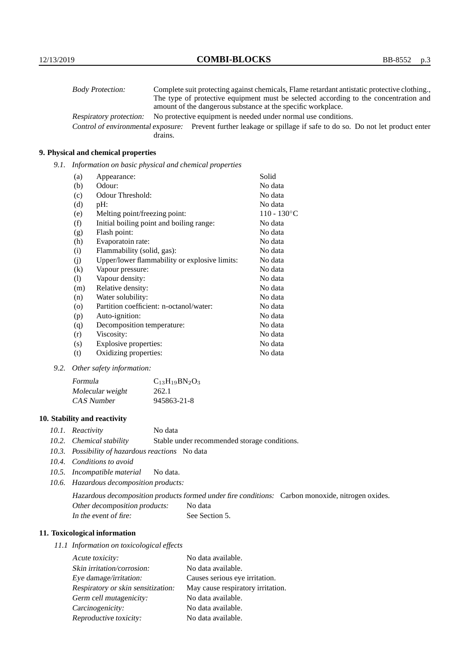| <b>Body Protection:</b>            |         | Complete suit protecting against chemicals, Flame retardant antistatic protective clothing. |
|------------------------------------|---------|---------------------------------------------------------------------------------------------|
|                                    |         | The type of protective equipment must be selected according to the concentration and        |
|                                    |         | amount of the dangerous substance at the specific workplace.                                |
| Respiratory protection:            |         | No protective equipment is needed under normal use conditions.                              |
| Control of environmental exposure: |         | Prevent further leakage or spillage if safe to do so. Do not let product enter              |
|                                    | drains. |                                                                                             |

# **9. Physical and chemical properties**

*9.1. Information on basic physical and chemical properties*

| (a)               | Appearance:                                   | Solid                |
|-------------------|-----------------------------------------------|----------------------|
| (b)               | Odour:                                        | No data              |
| (c)               | Odour Threshold:                              | No data              |
| (d)               | pH:                                           | No data              |
| (e)               | Melting point/freezing point:                 | $110 - 130^{\circ}C$ |
| (f)               | Initial boiling point and boiling range:      | No data              |
| (g)               | Flash point:                                  | No data              |
| (h)               | Evaporatoin rate:                             | No data              |
| (i)               | Flammability (solid, gas):                    | No data              |
| (j)               | Upper/lower flammability or explosive limits: | No data              |
| $\left( k\right)$ | Vapour pressure:                              | No data              |
| (1)               | Vapour density:                               | No data              |
| (m)               | Relative density:                             | No data              |
| (n)               | Water solubility:                             | No data              |
| $\circ$           | Partition coefficient: n-octanol/water:       | No data              |
| (p)               | Auto-ignition:                                | No data              |
| (q)               | Decomposition temperature:                    | No data              |
| (r)               | Viscosity:                                    | No data              |
| (s)               | Explosive properties:                         | No data              |
| (t)               | Oxidizing properties:                         | No data              |

*9.2. Other safety information:*

| Formula          | $C_{13}H_{19}BN_2O_3$ |
|------------------|-----------------------|
| Molecular weight | 262.1                 |
| CAS Number       | 945863-21-8           |

# **10. Stability and reactivity**

- *10.1. Reactivity* No data
- *10.2. Chemical stability* Stable under recommended storage conditions.
- *10.3. Possibility of hazardous reactions* No data
- *10.4. Conditions to avoid*
- *10.5. Incompatible material* No data.
- *10.6. Hazardous decomposition products:*

Hazardous decomposition products formed under fire conditions: Carbon monoxide, nitrogen oxides. Other decomposition products: No data In the event of fire: See Section 5.

# **11. Toxicological information**

*11.1 Information on toxicological effects*

| Acute toxicity:                    | No data available.                |
|------------------------------------|-----------------------------------|
| Skin irritation/corrosion:         | No data available.                |
| Eye damage/irritation:             | Causes serious eye irritation.    |
| Respiratory or skin sensitization: | May cause respiratory irritation. |
| Germ cell mutagenicity:            | No data available.                |
| Carcinogenicity:                   | No data available.                |
| Reproductive toxicity:             | No data available.                |